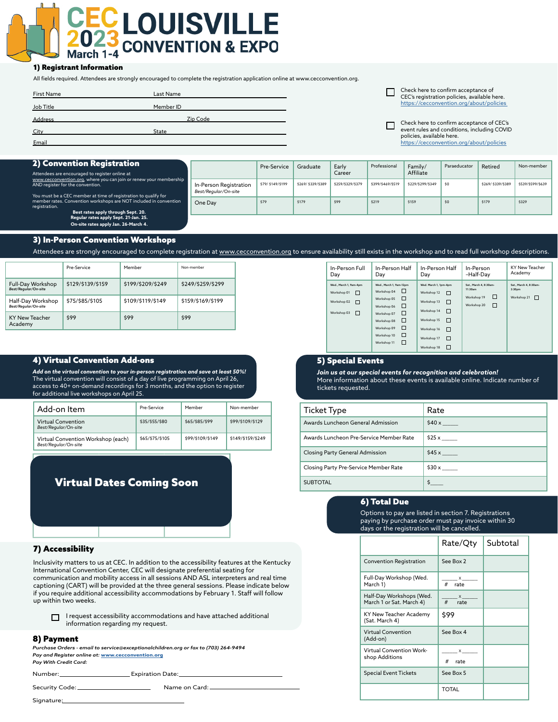# **ECLOUISVILLE CONVENTION & EXPO** March 1-4

#### 1) Registrant Information

All fields required. Attendees are strongly encouraged to complete the registration application online at www.cecconvention.org.

| <b>First Name</b> | Last Name |  |
|-------------------|-----------|--|
| Job Title         | Member ID |  |
| <b>Address</b>    | Zip Code  |  |
| City              | State     |  |
| Email             |           |  |

Check here to confirm acceptance of CEC's registration policies, available here. [https://cecconvention.org/about/policies](http://cecconvention.org/about/policies) 

Check here to confirm acceptance of CEC's event rules and conditions, including COVID policies, available here. [https://cecconvention.org/about/policies](http://cecconvention.org/about/policies)

| <b>2) Convention Registration</b><br>Attendees are encouraged to register online at                                                                                       |                                                | Pre-Service       | Graduate          | Early<br>Career   | Professional      | Family/<br>Affiliate | Paraeducator | Retired           | Non-member        |
|---------------------------------------------------------------------------------------------------------------------------------------------------------------------------|------------------------------------------------|-------------------|-------------------|-------------------|-------------------|----------------------|--------------|-------------------|-------------------|
| www.cecconvention.org, where you can join or renew your membership<br>AND register for the convention.<br>You must be a CEC member at time of registration to qualify for | In-Person Registration<br>Best/Reaular/On-site | \$79/ \$149/\$199 | \$269/\$339/\$389 | \$259/\$329/\$379 | \$399/\$469/\$519 | \$229/\$299/\$349    | \$0          | \$269/\$339/\$389 | \$539/\$599/\$639 |
| member rates. Convention workshops are NOT included in convention<br>registration.<br>Best rates apply through Sept. 20.                                                  | One Day                                        | \$79              | \$179             | \$99              | \$219             | \$159                | \$0          | \$179             | \$329             |
| Regular rates apply Sept. 21-Jan. 25.<br>On-site rates apply Jan. 26-March 4.                                                                                             |                                                |                   |                   |                   |                   |                      |              |                   |                   |

#### 3) In-Person Convention Workshops

Attendees are strongly encouraged to complete registration at [www.cecconvention.org](http://www.cecconvention.org) to ensure availability still exists in the workshop and to read full workshop descriptions.

|                                           | Pre-Service       | Member            | Non-member        |
|-------------------------------------------|-------------------|-------------------|-------------------|
| Full-Day Workshop<br>Best/Regular/On-site | \$129/\$139/\$159 | \$199/\$209/\$249 | \$249/\$259/\$299 |
| Half-Day Workshop<br>Best/Regular/On-site | \$75/\$85/\$105   | \$109/\$119/\$149 | \$159/\$169/\$199 |
| <b>KY New Teacher</b><br>Academy          | \$99              | \$99              | \$99              |

### 4) Virtual Convention Add-ons

*Add on the virtual convention to your in-person registration and save at least 50%!* The virtual convention will consist of a day of live programming on April 26, access to 40+ on-demand recordings for 3 months, and the option to register for additional live workshops on April 25.

| Add-on Item                                                | Pre-Service     | Member           | Non-member        |
|------------------------------------------------------------|-----------------|------------------|-------------------|
| Virtual Convention<br>Best/Regular/On-site                 | \$35/\$55/\$80  | \$65/\$85/\$99   | \$99/\$109/\$129  |
| Virtual Convention Workshop (each)<br>Best/Regular/On-site | \$65/\$75/\$105 | \$99/\$109/\$149 | \$149/\$159/\$249 |

#### Workshop V01 Virtual Dates Coming Soon

#### 7) Accessibility

Inclusivity matters to us at CEC. In addition to the accessibility features at the Kentucky International Convention Center, CEC will designate preferential seating for communication and mobility access in all sessions AND ASL interpreters and real time captioning (CART) will be provided at the three general sessions. Please indicate below if you require additional accessibility accommodations by February 1. Staff will follow up within two weeks.

I request accessibility accommodations and have attached additional □ information regarding my request.

#### 8) Payment

*Purchase Orders - email to service@exceptionalchildren.org or fax to (703) 264-9494 Pay and Register online at:* **[www.cecconvention.org](http://www.cecconvention.org)**  *Pay With Credit Card:*

Number: Expiration Date: Security Code: <u>Name on Card:</u> Name on Card:

Signature:

| In-Person Full                                                                | In-Person Half                                                                                                                                                                          | In-Person Half                                                                                                                                                              | In-Person                                                                 | <b>KY New Teacher</b> |
|-------------------------------------------------------------------------------|-----------------------------------------------------------------------------------------------------------------------------------------------------------------------------------------|-----------------------------------------------------------------------------------------------------------------------------------------------------------------------------|---------------------------------------------------------------------------|-----------------------|
| Day                                                                           | Day                                                                                                                                                                                     | Day                                                                                                                                                                         | -Half-Day                                                                 | Academy               |
| Wed., March 1, 9am-4pm<br>Workshop 01<br>Workshop 02<br>п<br>Workshop 03<br>п | Wed., March 1, 9am-12pm<br>⊔<br>Workshop 04<br>□<br>Workshop 05<br>⊔<br>Workshop 06<br>□<br>Workshop 07<br>□<br>Workshop 08<br>□<br>Workshop 09<br>□<br>Workshop 10<br>ш<br>Workshop 11 | Wed. March 1, 1pm-4pm<br>□<br>Workshop 12<br>Workshop 13<br>□<br>□<br>Workshop 14<br>$\Box$<br>Workshop 15<br>Workshop 16<br>□<br>$\Box$<br>Workshop 17<br>□<br>Workshop 18 | Sat., March 4, 8:30am-<br>11:30am<br>□<br>Workshop 19<br>Workshop 20<br>п |                       |

### 5) Special Events

*Join us at our special events for recognition and celebration!*  More information about these events is available online. Indicate number of tickets requested.

| <b>Ticket Type</b>                      | Rate                |
|-----------------------------------------|---------------------|
| Awards Luncheon General Admission       | \$40x               |
| Awards Luncheon Pre-Service Member Rate |                     |
| Closing Party General Admission         | \$45x               |
| Closing Party Pre-Service Member Rate   |                     |
| <b>SUBTOTAL</b>                         | $\ddot{\mathsf{s}}$ |

#### 6) Total Due

Options to pay are listed in section 7. Registrations paying by purchase order must pay invoice within 30 days or the registration will be cancelled.

|                                                      | Rate/Qty                                                                                                                                                                                                                                                                                                      | Subtotal |
|------------------------------------------------------|---------------------------------------------------------------------------------------------------------------------------------------------------------------------------------------------------------------------------------------------------------------------------------------------------------------|----------|
| <b>Convention Registration</b>                       | See Box 2                                                                                                                                                                                                                                                                                                     |          |
| Full-Day Workshop (Wed.<br>March 1)                  | $\mathsf{X}$ and $\mathsf{X}$ and $\mathsf{X}$ are $\mathsf{X}$ and $\mathsf{X}$ are $\mathsf{X}$ and $\mathsf{X}$ are $\mathsf{X}$ and $\mathsf{X}$ are $\mathsf{X}$ and $\mathsf{X}$ are $\mathsf{X}$ and $\mathsf{X}$ are $\mathsf{X}$ and $\mathsf{X}$ are $\mathsf{X}$ and $\mathsf{X}$ are<br>#<br>rate |          |
| Half-Day Workshops (Wed.<br>March 1 or Sat. March 4) | $\mathsf{X}$ and $\mathsf{X}$<br>$#$ rate                                                                                                                                                                                                                                                                     |          |
| KY New Teacher Academy<br>(Sat. March 4)             | \$99                                                                                                                                                                                                                                                                                                          |          |
| <b>Virtual Convention</b><br>(Add-on)                | See Box 4                                                                                                                                                                                                                                                                                                     |          |
| Virtual Convention Work-<br>shop Additions           | X<br>#<br>rate                                                                                                                                                                                                                                                                                                |          |
| <b>Special Event Tickets</b>                         | See Box 5                                                                                                                                                                                                                                                                                                     |          |
|                                                      | TOTAI                                                                                                                                                                                                                                                                                                         |          |